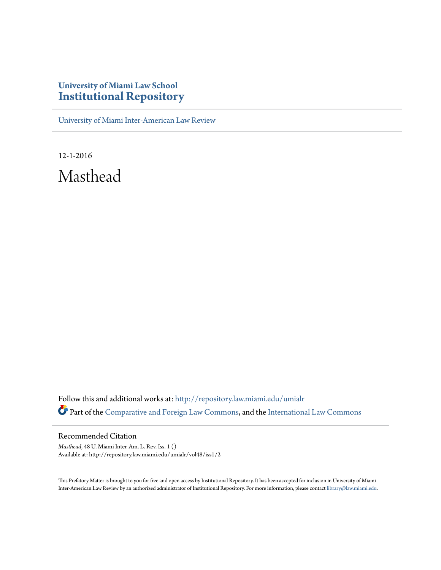## **University of Miami Law School [Institutional Repository](http://repository.law.miami.edu?utm_source=repository.law.miami.edu%2Fumialr%2Fvol48%2Fiss1%2F2&utm_medium=PDF&utm_campaign=PDFCoverPages)**

[University of Miami Inter-American Law Review](http://repository.law.miami.edu/umialr?utm_source=repository.law.miami.edu%2Fumialr%2Fvol48%2Fiss1%2F2&utm_medium=PDF&utm_campaign=PDFCoverPages)

12-1-2016 Masthead

Follow this and additional works at: [http://repository.law.miami.edu/umialr](http://repository.law.miami.edu/umialr?utm_source=repository.law.miami.edu%2Fumialr%2Fvol48%2Fiss1%2F2&utm_medium=PDF&utm_campaign=PDFCoverPages) Part of the [Comparative and Foreign Law Commons](http://network.bepress.com/hgg/discipline/836?utm_source=repository.law.miami.edu%2Fumialr%2Fvol48%2Fiss1%2F2&utm_medium=PDF&utm_campaign=PDFCoverPages), and the [International Law Commons](http://network.bepress.com/hgg/discipline/609?utm_source=repository.law.miami.edu%2Fumialr%2Fvol48%2Fiss1%2F2&utm_medium=PDF&utm_campaign=PDFCoverPages)

Recommended Citation

*Masthead*, 48 U. Miami Inter-Am. L. Rev. Iss. 1 () Available at: http://repository.law.miami.edu/umialr/vol48/iss1/2

This Prefatory Matter is brought to you for free and open access by Institutional Repository. It has been accepted for inclusion in University of Miami Inter-American Law Review by an authorized administrator of Institutional Repository. For more information, please contact [library@law.miami.edu](mailto:library@law.miami.edu).